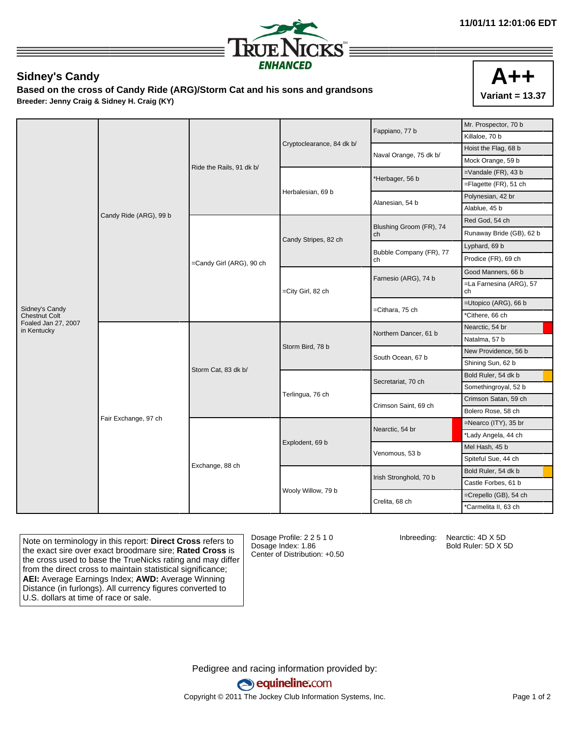

## **Sidney's Candy**

**Based on the cross of Candy Ride (ARG)/Storm Cat and his sons and grandsons Breeder: Jenny Craig & Sidney H. Craig (KY)**



|                                    | Candy Ride (ARG), 99 b | Ride the Rails, 91 dk b/ |                           | Fappiano, 77 b                | Mr. Prospector, 70 b          |
|------------------------------------|------------------------|--------------------------|---------------------------|-------------------------------|-------------------------------|
|                                    |                        |                          |                           |                               | Killaloe, 70 b                |
|                                    |                        |                          | Cryptoclearance, 84 dk b/ | Naval Orange, 75 dk b/        | Hoist the Flag, 68 b          |
|                                    |                        |                          |                           |                               | Mock Orange, 59 b             |
|                                    |                        |                          | Herbalesian, 69 b         | *Herbager, 56 b               | $=$ Vandale (FR), 43 b        |
|                                    |                        |                          |                           |                               | =Flagette (FR), 51 ch         |
|                                    |                        |                          |                           | Alanesian, 54 b               | Polynesian, 42 br             |
|                                    |                        |                          |                           |                               | Alablue, 45 b                 |
|                                    |                        | =Candy Girl (ARG), 90 ch | Candy Stripes, 82 ch      | Blushing Groom (FR), 74<br>ch | Red God, 54 ch                |
|                                    |                        |                          |                           |                               | Runaway Bride (GB), 62 b      |
|                                    |                        |                          |                           | Bubble Company (FR), 77<br>ch | Lyphard, 69 b                 |
|                                    |                        |                          |                           |                               | Prodice (FR), 69 ch           |
|                                    |                        |                          | =City Girl, 82 ch         | Farnesio (ARG), 74 b          | Good Manners, 66 b            |
|                                    |                        |                          |                           |                               | =La Farnesina (ARG), 57<br>ch |
| Sidney's Candy                     |                        |                          |                           | =Cithara, 75 ch               | =Utopico (ARG), 66 b          |
| <b>Chestnut Colt</b>               |                        |                          |                           |                               | *Cithere, 66 ch               |
| Foaled Jan 27, 2007<br>in Kentucky | Fair Exchange, 97 ch   | Storm Cat, 83 dk b/      | Storm Bird, 78 b          | Northern Dancer, 61 b         | Nearctic, 54 br               |
|                                    |                        |                          |                           |                               | Natalma, 57 b                 |
|                                    |                        |                          |                           | South Ocean, 67 b             | New Providence, 56 b          |
|                                    |                        |                          |                           |                               | Shining Sun, 62 b             |
|                                    |                        |                          | Terlingua, 76 ch          | Secretariat, 70 ch            | Bold Ruler, 54 dk b           |
|                                    |                        |                          |                           |                               | Somethingroyal, 52 b          |
|                                    |                        |                          |                           | Crimson Saint, 69 ch          | Crimson Satan, 59 ch          |
|                                    |                        |                          |                           |                               | Bolero Rose, 58 ch            |
|                                    |                        | Exchange, 88 ch          | Explodent, 69 b           | Nearctic, 54 br               | =Nearco (ITY), 35 br          |
|                                    |                        |                          |                           |                               | *Lady Angela, 44 ch           |
|                                    |                        |                          |                           | Venomous, 53 b                | Mel Hash, 45 b                |
|                                    |                        |                          |                           |                               | Spiteful Sue, 44 ch           |
|                                    |                        |                          | Wooly Willow, 79 b        | Irish Stronghold, 70 b        | Bold Ruler, 54 dk b           |
|                                    |                        |                          |                           |                               | Castle Forbes, 61 b           |
|                                    |                        |                          |                           | Crelita, 68 ch                | =Crepello (GB), 54 ch         |
|                                    |                        |                          |                           |                               | *Carmelita II, 63 ch          |

Note on terminology in this report: **Direct Cross** refers to the exact sire over exact broodmare sire; **Rated Cross** is the cross used to base the TrueNicks rating and may differ from the direct cross to maintain statistical significance; **AEI:** Average Earnings Index; **AWD:** Average Winning Distance (in furlongs). All currency figures converted to U.S. dollars at time of race or sale.

Dosage Profile: 2 2 5 1 0 Dosage Index: 1.86 Center of Distribution: +0.50

Inbreeding: Nearctic: 4D X 5D Bold Ruler: 5D X 5D